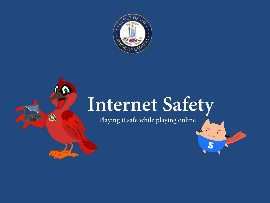

 $\bullet$ 

O

## **Internet Safety**

S

Playing it safe while playing online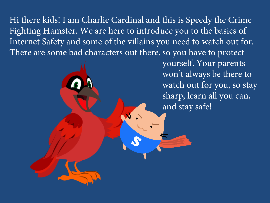Hi there kids! I am Charlie Cardinal and this is Speedy the Crime Fighting Hamster. We are here to introduce you to the basics of Internet Safety and some of the villains you need to watch out for. There are some bad characters out there, so you have to protect

> yourself. Your parents won't always be there to watch out for you, so stay sharp, learn all you can, and stay safe!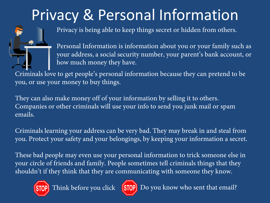## Privacy & Personal Information



Personal Information is information about you or your family such as your address, a social security number, your parent's bank account, or how much money they have.

Criminals love to get people's personal information because they can pretend to be you, or use your money to buy things.

They can also make money off of your information by selling it to others. Companies or other criminals will use your info to send you junk mail or spam emails.

Criminals learning your address can be very bad. They may break in and steal from you. Protect your safety and your belongings, by keeping your information a secret.

These bad people may even use your personal information to trick someone else in your circle of friends and family. People sometimes tell criminals things that they shouldn't if they think that they are communicating with someone they know.





Think before you click [STOP] Do you know who sent that email?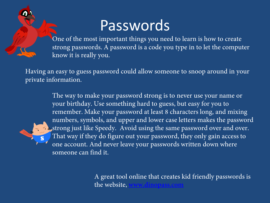#### Passwords

One of the most important things you need to learn is how to create strong passwords. A password is a code you type in to let the computer know it is really you.

Having an easy to guess password could allow someone to snoop around in your private information.

> The way to make your password strong is to never use your name or your birthday. Use something hard to guess, but easy for you to remember. Make your password at least 8 characters long, and mixing numbers, symbols, and upper and lower case letters makes the password strong just like Speedy. Avoid using the same password over and over. That way if they do figure out your password, they only gain access to one account. And never leave your passwords written down where someone can find it.

> > A great tool online that creates kid friendly passwords is the website,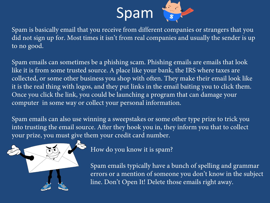

Spam is basically email that you receive from different companies or strangers that you did not sign up for. Most times it isn't from real companies and usually the sender is up to no good.

Spam emails can sometimes be a phishing scam. Phishing emails are emails that look like it is from some trusted source. A place like your bank, the IRS where taxes are collected, or some other business you shop with often. They make their email look like it is the real thing with logos, and they put links in the email baiting you to click them. Once you click the link, you could be launching a program that can damage your computer in some way or collect your personal information.

Spam emails can also use winning a sweepstakes or some other type prize to trick you into trusting the email source. After they hook you in, they inform you that to collect your prize, you must give them your credit card number.



How do you know it is spam?

Spam emails typically have a bunch of spelling and grammar errors or a mention of someone you don't know in the subject line. Don't Open It! Delete those emails right away.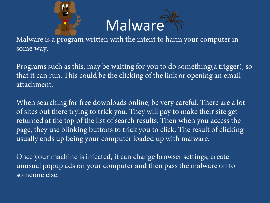



Malware is a program written with the intent to harm your computer in some way.

Programs such as this, may be waiting for you to do something(a trigger), so that it can run. This could be the clicking of the link or opening an email attachment.

When searching for free downloads online, be very careful. There are a lot of sites out there trying to trick you. They will pay to make their site get returned at the top of the list of search results. Then when you access the page, they use blinking buttons to trick you to click. The result of clicking usually ends up being your computer loaded up with malware.

Once your machine is infected, it can change browser settings, create unusual popup ads on your computer and then pass the malware on to someone else.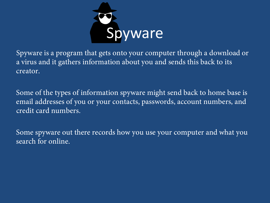

Spyware is a program that gets onto your computer through a download or a virus and it gathers information about you and sends this back to its creator.

Some of the types of information spyware might send back to home base is email addresses of you or your contacts, passwords, account numbers, and credit card numbers.

Some spyware out there records how you use your computer and what you search for online.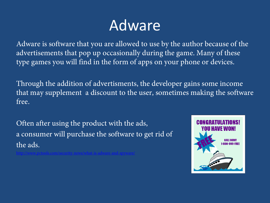## Adware

Adware is software that you are allowed to use by the author because of the advertisements that pop up occasionally during the game. Many of these type games you will find in the form of apps on your phone or devices.

Through the addition of advertisments, the developer gains some income that may supplement a discount to the user, sometimes making the software free.

Often after using the product with the ads, a consumer will purchase the software to get rid of the ads.

<http://www.pctools.com/security-news/what-is-adware-and-spyware/>

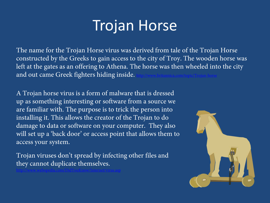### Trojan Horse

The name for the Trojan Horse virus was derived from tale of the Trojan Horse constructed by the Greeks to gain access to the city of Troy. The wooden horse was left at the gates as an offering to Athena. The horse was then wheeled into the city and out came Greek fighters hiding inside.

A Trojan horse virus is a form of malware that is dressed up as something interesting or software from a source we are familiar with. The purpose is to trick the person into installing it. This allows the creator of the Trojan to do damage to data or software on your computer. They also will set up a 'back door' or access point that allows them to access your system.

Trojan viruses don't spread by infecting other files and they cannot duplicate themselves.

<http://www.webopedia.com/DidYouKnow/Internet/virus.asp>

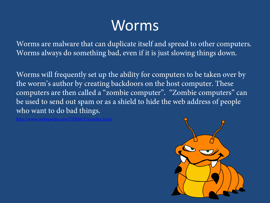## Worms

Worms are malware that can duplicate itself and spread to other computers. Worms always do something bad, even if it is just slowing things down.

Worms will frequently set up the ability for computers to be taken over by the worm's author by creating backdoors on the host computer. These computers are then called a "zombie computer". "Zombie computers" can be used to send out spam or as a shield to hide the web address of people who want to do bad things.

<http://www.webopedia.com/TERM/Z/zombie.html>

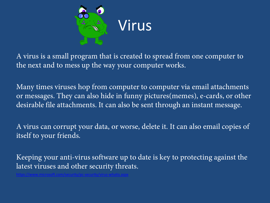

A virus is a small program that is created to spread from one computer to the next and to mess up the way your computer works.

Many times viruses hop from computer to computer via email attachments or messages. They can also hide in funny pictures(memes), e-cards, or other desirable file attachments. It can also be sent through an instant message.

A virus can corrupt your data, or worse, delete it. It can also email copies of itself to your friends.

Keeping your anti-virus software up to date is key to protecting against the latest viruses and other security threats.

<https://www.microsoft.com/security/pc-security/virus-whatis.aspx>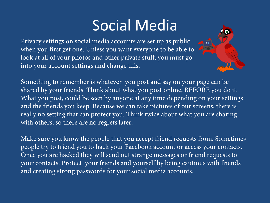### Social Media

Try

Privacy settings on social media accounts are set up as public when you first get one. Unless you want everyone to be able to look at all of your photos and other private stuff, you must go into your account settings and change this.

Something to remember is whatever you post and say on your page can be shared by your friends. Think about what you post online, BEFORE you do it. What you post, could be seen by anyone at any time depending on your settings and the friends you keep. Because we can take pictures of our screens, there is really no setting that can protect you. Think twice about what you are sharing with others, so there are no regrets later.

Make sure you know the people that you accept friend requests from. Sometimes people try to friend you to hack your Facebook account or access your contacts. Once you are hacked they will send out strange messages or friend requests to your contacts. Protect your friends and yourself by being cautious with friends and creating strong passwords for your social media accounts.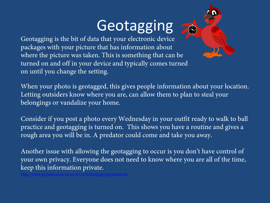## Geotagging

Geotagging is the bit of data that your electronic device packages with your picture that has information about where the picture was taken. This is something that can be turned on and off in your device and typically comes turned on until you change the setting.

[http://www.nytimes.com/2010/08/12/technology/personaltech](http://www.nytimes.com/2010/08/12/technology/personaltech/12basics.html?_r=0)

When your photo is geotagged, this gives people information about your location. Letting outsiders know where you are, can allow them to plan to steal your belongings or vandalize your home.

Consider if you post a photo every Wednesday in your outfit ready to walk to ball practice and geotagging is turned on. This shows you have a routine and gives a rough area you will be in. A predator could come and take you away.

Another issue with allowing the geotagging to occur is you don't have control of your own privacy. Everyone does not need to know where you are all of the time, keep this information private.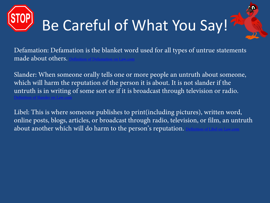

[Definition of Slander on Law.com](http://dictionary.law.com/Default.aspx?selected=1969)

Defamation: Defamation is the blanket word used for all types of untrue statements made about others.

Slander: When someone orally tells one or more people an untruth about someone, which will harm the reputation of the person it is about. It is not slander if the untruth is in writing of some sort or if it is broadcast through television or radio.

Libel: This is where someone publishes to print(including pictures), written word, online posts, blogs, articles, or broadcast through radio, television, or film, an untruth about another which will do harm to the person's reputation.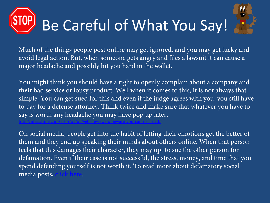## Be Careful of What You Say!



You might think you should have a right to openly complain about a company and their bad service or lousy product. Well when it comes to this, it is not always that simple. You can get sued for this and even if the judge agrees with you, you still have to pay for a defense attorney. Think twice and make sure that whatever you have to say is worth any headache you may have pop up later.

<http://ideas.time.com/2013/01/07/yelp-reviewers-beware-you-can-get-sued/>

On social media, people get into the habit of letting their emotions get the better of them and they end up speaking their minds about others online. When that person feels that this damages their character, they may opt to sue the other person for defamation. Even if their case is not successful, the stress, money, and time that you spend defending yourself is not worth it. To read more about defamatory social media posts, [click here](http://www.hg.org/article.asp?id=34430).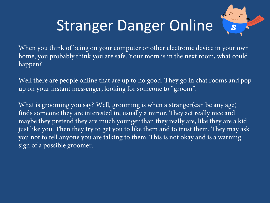## Stranger Danger Online

When you think of being on your computer or other electronic device in your own home, you probably think you are safe. Your mom is in the next room, what could happen?

Well there are people online that are up to no good. They go in chat rooms and pop up on your instant messenger, looking for someone to "groom".

What is grooming you say? Well, grooming is when a stranger(can be any age) finds someone they are interested in, usually a minor. They act really nice and maybe they pretend they are much younger than they really are, like they are a kid just like you. Then they try to get you to like them and to trust them. They may ask you not to tell anyone you are talking to them. This is not okay and is a warning sign of a possible groomer.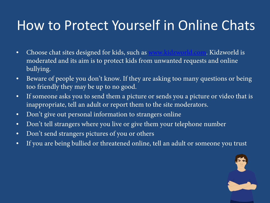#### How to Protect Yourself in Online Chats

- Choose chat sites designed for kids, such as [www.kidzworld.com.](http://www.kidzworld.com/) Kidzworld is moderated and its aim is to protect kids from unwanted requests and online bullying.
- Beware of people you don't know. If they are asking too many questions or being too friendly they may be up to no good.
- If someone asks you to send them a picture or sends you a picture or video that is inappropriate, tell an adult or report them to the site moderators.
- Don't give out personal information to strangers online
- Don't tell strangers where you live or give them your telephone number
- Don't send strangers pictures of you or others
- If you are being bullied or threatened online, tell an adult or someone you trust

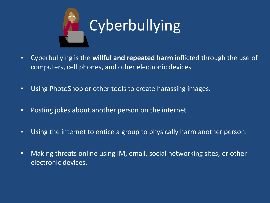

- Cyberbullying is the **willful and repeated harm** inflicted through the use of computers, cell phones, and other electronic devices.
- Using PhotoShop or other tools to create harassing images.
- Posting jokes about another person on the internet
- Using the internet to entice a group to physically harm another person.
- Making threats online using IM, email, social networking sites, or other electronic devices.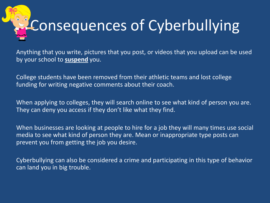# Consequences of Cyberbullying

Anything that you write, pictures that you post, or videos that you upload can be used by your school to **suspend** you.

College students have been removed from their athletic teams and lost college funding for writing negative comments about their coach.

When applying to colleges, they will search online to see what kind of person you are. They can deny you access if they don't like what they find.

When businesses are looking at people to hire for a job they will many times use social media to see what kind of person they are. Mean or inappropriate type posts can prevent you from getting the job you desire.

Cyberbullying can also be considered a crime and participating in this type of behavior can land you in big trouble.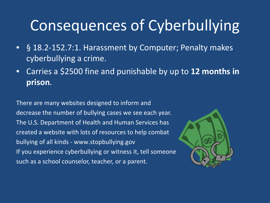## Consequences of Cyberbullying

- § 18.2-152.7:1. Harassment by Computer; Penalty makes cyberbullying a crime.
- Carries a \$2500 fine and punishable by up to **12 months in prison**.

There are many websites designed to inform and decrease the number of bullying cases we see each year. The U.S. Department of Health and Human Services has created a website with lots of resources to help combat bullying of all kinds - www.stopbullying.gov If you experience cyberbullying or witness it, tell someone such as a school counselor, teacher, or a parent.

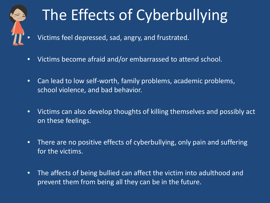

## The Effects of Cyberbullying

- Victims feel depressed, sad, angry, and frustrated.
- Victims become afraid and/or embarrassed to attend school.
- Can lead to low self-worth, family problems, academic problems, school violence, and bad behavior.
- Victims can also develop thoughts of killing themselves and possibly act on these feelings.
- There are no positive effects of cyberbullying, only pain and suffering for the victims.
- The affects of being bullied can affect the victim into adulthood and prevent them from being all they can be in the future.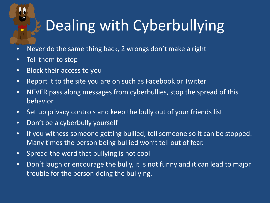## Dealing with Cyberbullying

- Never do the same thing back, 2 wrongs don't make a right
- Tell them to stop

 $\overline{\phantom{a}}$ 

- Block their access to you
- Report it to the site you are on such as Facebook or Twitter
- NEVER pass along messages from cyberbullies, stop the spread of this behavior
- Set up privacy controls and keep the bully out of your friends list
- Don't be a cyberbully yourself
- If you witness someone getting bullied, tell someone so it can be stopped. Many times the person being bullied won't tell out of fear.
- Spread the word that bullying is not cool
- Don't laugh or encourage the bully, it is not funny and it can lead to major trouble for the person doing the bullying.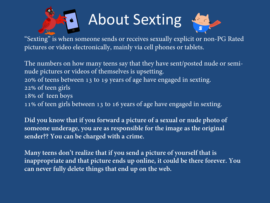

## About Sexting



"Sexting" is when someone sends or receives sexually explicit or non-PG Rated pictures or video electronically, mainly via cell phones or tablets.

The numbers on how many teens say that they have sent/posted nude or seminude pictures or videos of themselves is upsetting. 20% of teens between 13 to 19 years of age have engaged in sexting. 22% of teen girls 18% of teen boys 11% of teen girls between 13 to 16 years of age have engaged in sexting.

**Did you know that if you forward a picture of a sexual or nude photo of someone underage, you are as responsible for the image as the original sender?? You can be charged with a crime.**

**Many teens don't realize that if you send a picture of yourself that is inappropriate and that picture ends up online, it could be there forever. You can never fully delete things that end up on the web.**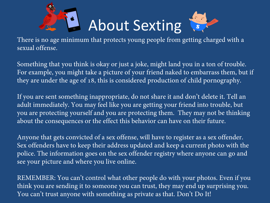

## About Sexting



There is no age minimum that protects young people from getting charged with a sexual offense.

Something that you think is okay or just a joke, might land you in a ton of trouble. For example, you might take a picture of your friend naked to embarrass them, but if they are under the age of 18, this is considered production of child pornography.

If you are sent something inappropriate, do not share it and don't delete it. Tell an adult immediately. You may feel like you are getting your friend into trouble, but you are protecting yourself and you are protecting them. They may not be thinking about the consequences or the effect this behavior can have on their future.

Anyone that gets convicted of a sex offense, will have to register as a sex offender. Sex offenders have to keep their address updated and keep a current photo with the police. The information goes on the sex offender registry where anyone can go and see your picture and where you live online.

REMEMBER: You can't control what other people do with your photos. Even if you think you are sending it to someone you can trust, they may end up surprising you. You can't trust anyone with something as private as that. Don't Do It!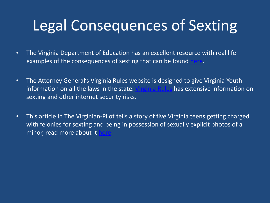## Legal Consequences of Sexting

- The Virginia Department of Education has an excellent resource with real life examples of the consequences of sexting that can be found
- The Attorney General's Virginia Rules website is designed to give Virginia Youth information on all the laws in the state. [Virginia Rules](http://www.virginiarules.com/virginia-rules/technology-and-you) has extensive information on sexting and other internet security risks.
- This article in The Virginian-Pilot tells a story of five Virginia teens getting charged with felonies for sexting and being in possession of sexually explicit photos of a minor, read more about it